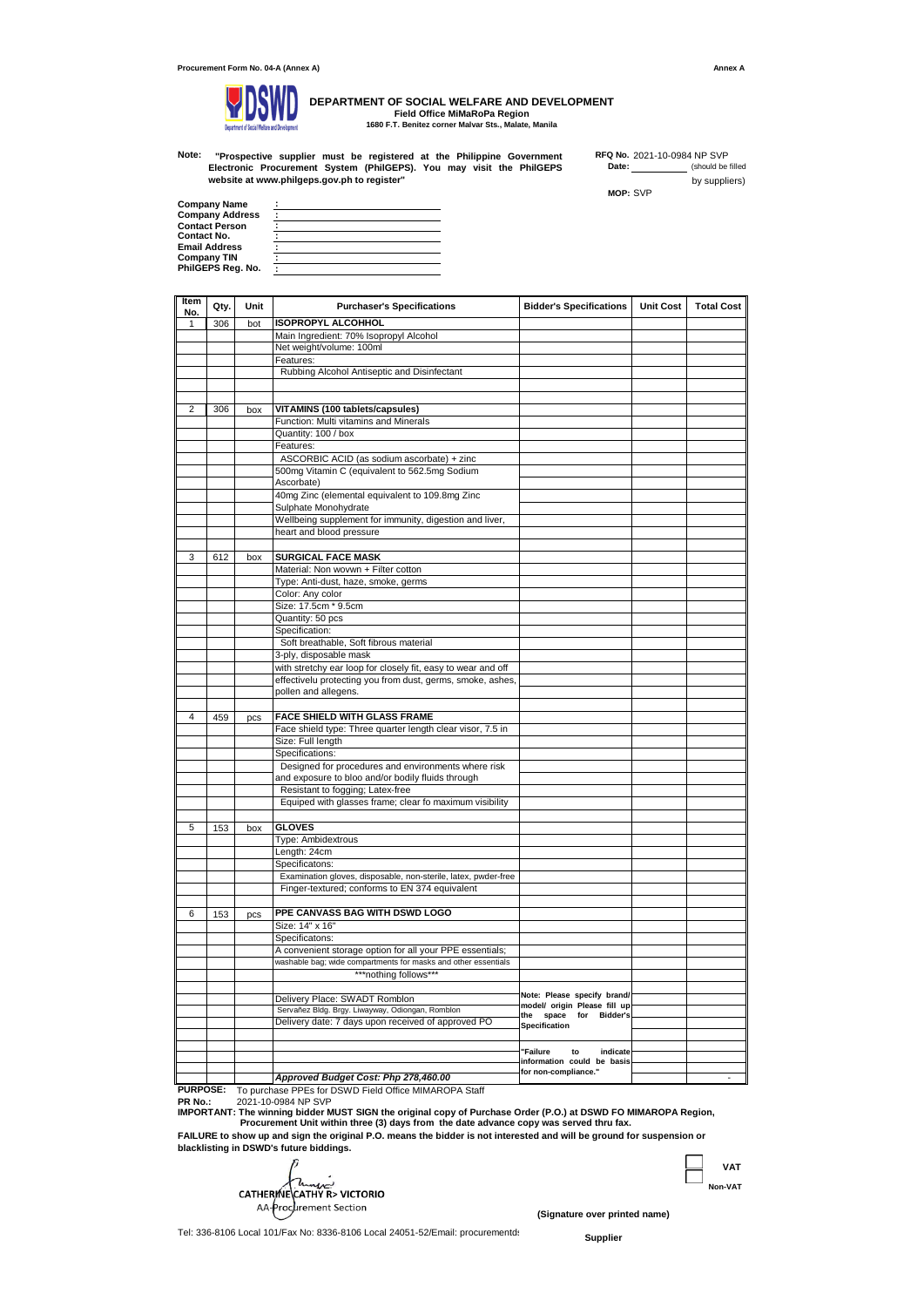

## **DEPARTMENT OF SOCIAL WELFARE AND DEVELOPMENT Field Office MiMaRoPa Region 1680 F.T. Benitez corner Malvar Sts., Malate, Manila**

Note: "Prospective supplier must be registered at the Philippine Government RFQ No. 2021-10-0984 NP SVP<br>Electronic Procurement System (PhilGEPS). You may visit the PhilGEPS Date: \_\_\_\_\_\_\_\_\_\_(should be **website at www.philgeps.gov.ph to register"** 

**RFQ No.** 2021-10-0984 NP SVP<br>**Date:** (should be filled by suppliers)

**MOP:** SVP

| ٠ |
|---|
|   |
|   |
|   |
|   |
| ٠ |
|   |

| Item<br>No.    | Qty. | Unit | <b>Purchaser's Specifications</b>                              | <b>Bidder's Specifications  </b>                       | <b>Unit Cost</b> | <b>Total Cost</b> |
|----------------|------|------|----------------------------------------------------------------|--------------------------------------------------------|------------------|-------------------|
| 1              | 306  | bot  | <b>ISOPROPYL ALCOHHOL</b>                                      |                                                        |                  |                   |
|                |      |      | Main Ingredient: 70% Isopropyl Alcohol                         |                                                        |                  |                   |
|                |      |      | Net weight/volume: 100ml                                       |                                                        |                  |                   |
|                |      |      | Features:                                                      |                                                        |                  |                   |
|                |      |      | Rubbing Alcohol Antiseptic and Disinfectant                    |                                                        |                  |                   |
|                |      |      |                                                                |                                                        |                  |                   |
|                |      |      |                                                                |                                                        |                  |                   |
| $\overline{2}$ | 306  | box  | VITAMINS (100 tablets/capsules)                                |                                                        |                  |                   |
|                |      |      | Function: Multi vitamins and Minerals                          |                                                        |                  |                   |
|                |      |      | Quantity: 100 / box                                            |                                                        |                  |                   |
|                |      |      | Features:                                                      |                                                        |                  |                   |
|                |      |      | ASCORBIC ACID (as sodium ascorbate) + zinc                     |                                                        |                  |                   |
|                |      |      | 500mg Vitamin C (equivalent to 562.5mg Sodium                  |                                                        |                  |                   |
|                |      |      | Ascorbate)                                                     |                                                        |                  |                   |
|                |      |      | 40mg Zinc (elemental equivalent to 109.8mg Zinc                |                                                        |                  |                   |
|                |      |      | Sulphate Monohydrate                                           |                                                        |                  |                   |
|                |      |      | Wellbeing supplement for immunity, digestion and liver,        |                                                        |                  |                   |
|                |      |      | heart and blood pressure                                       |                                                        |                  |                   |
|                |      |      |                                                                |                                                        |                  |                   |
| 3              | 612  | box  | <b>SURGICAL FACE MASK</b>                                      |                                                        |                  |                   |
|                |      |      | Material: Non wovwn + Filter cotton                            |                                                        |                  |                   |
|                |      |      | Type: Anti-dust, haze, smoke, germs                            |                                                        |                  |                   |
|                |      |      | Color: Any color                                               |                                                        |                  |                   |
|                |      |      | Size: 17.5cm * 9.5cm                                           |                                                        |                  |                   |
|                |      |      | Quantity: 50 pcs                                               |                                                        |                  |                   |
|                |      |      | Specification:                                                 |                                                        |                  |                   |
|                |      |      | Soft breathable, Soft fibrous material                         |                                                        |                  |                   |
|                |      |      | 3-ply, disposable mask                                         |                                                        |                  |                   |
|                |      |      | with stretchy ear loop for closely fit, easy to wear and off   |                                                        |                  |                   |
|                |      |      | effectivelu protecting you from dust, germs, smoke, ashes,     |                                                        |                  |                   |
|                |      |      | pollen and allegens.                                           |                                                        |                  |                   |
|                |      |      |                                                                |                                                        |                  |                   |
| 4              | 459  | pcs  | <b>FACE SHIELD WITH GLASS FRAME</b>                            |                                                        |                  |                   |
|                |      |      | Face shield type: Three quarter length clear visor, 7.5 in     |                                                        |                  |                   |
|                |      |      | Size: Full length                                              |                                                        |                  |                   |
|                |      |      | Specifications:                                                |                                                        |                  |                   |
|                |      |      | Designed for procedures and environments where risk            |                                                        |                  |                   |
|                |      |      | and exposure to bloo and/or bodily fluids through              |                                                        |                  |                   |
|                |      |      | Resistant to fogging; Latex-free                               |                                                        |                  |                   |
|                |      |      | Equiped with glasses frame; clear fo maximum visibility        |                                                        |                  |                   |
|                |      |      |                                                                |                                                        |                  |                   |
| 5              | 153  | box  | <b>GLOVES</b>                                                  |                                                        |                  |                   |
|                |      |      | Type: Ambidextrous                                             |                                                        |                  |                   |
|                |      |      | Length: 24cm                                                   |                                                        |                  |                   |
|                |      |      | Specificatons:                                                 |                                                        |                  |                   |
|                |      |      | Examination gloves, disposable, non-sterile, latex, pwder-free |                                                        |                  |                   |
|                |      |      | Finger-textured; conforms to EN 374 equivalent                 |                                                        |                  |                   |
|                |      |      |                                                                |                                                        |                  |                   |
| 6              | 153  | pcs  | PPE CANVASS BAG WITH DSWD LOGO                                 |                                                        |                  |                   |
|                |      |      | Size: 14" x 16"                                                |                                                        |                  |                   |
|                |      |      | Specificatons:                                                 |                                                        |                  |                   |
|                |      |      | A convenient storage option for all your PPE essentials;       |                                                        |                  |                   |
|                |      |      | washable bag; wide compartments for masks and other essentials |                                                        |                  |                   |
|                |      |      | *** nothing follows**                                          |                                                        |                  |                   |
|                |      |      |                                                                |                                                        |                  |                   |
|                |      |      | Delivery Place: SWADT Romblon                                  | Note: Please specify brand/                            |                  |                   |
|                |      |      | Servañez Bldg. Brgy. Liwayway, Odiongan, Romblon               | model/ origin Please fill up<br>the space for Bidder's |                  |                   |
|                |      |      | Delivery date: 7 days upon received of approved PO             | Specification                                          |                  |                   |
|                |      |      |                                                                |                                                        |                  |                   |
|                |      |      |                                                                | "Failure<br>to<br>indicate                             |                  |                   |
|                |      |      |                                                                | information could be basis                             |                  |                   |
|                |      |      |                                                                | for non-compliance."                                   |                  |                   |
|                |      |      | Approved Budget Cost: Php 278,460.00                           |                                                        |                  |                   |

**PR No.:** 2021-10-0984 NP SVP **PURPOSE:** To purchase PPEs for DSWD Field Office MIMAROPA Staff

**IMPORTANT: The winning bidder MUST SIGN the original copy of Purchase Order (P.O.) at DSWD FO MIMAROPA Region, Procurement Unit within three (3) days from the date advance copy was served thru fax.**

**FAILURE to show up and sign the original P.O. means the bidder is not interested and will be ground for suspension or blacklisting in DSWD's future biddings.**

**CATHERINE CATHY REPORT Procurement Officer** 

**VAT Non-VAT**

Tel: 336-8106 Local 101/Fax No: 8336-8106 Local 24051-52/Email: procurementd:

**(Signature over printed name)**

**Supplier**